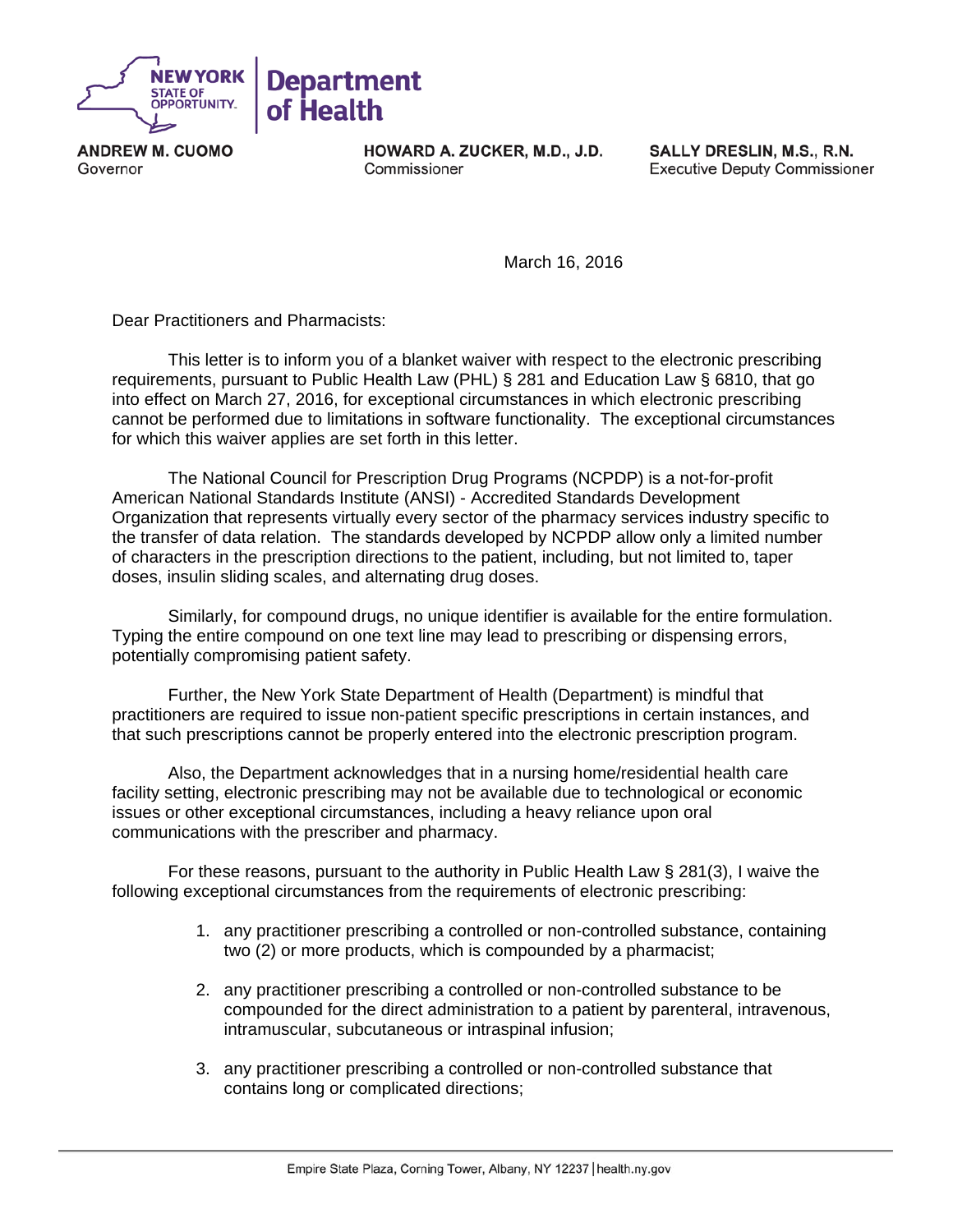

**ANDREW M. CUOMO** Governor

HOWARD A. ZUCKER, M.D., J.D. Commissioner

SALLY DRESLIN, M.S., R.N. **Executive Deputy Commissioner** 

March 16, 2016

Dear Practitioners and Pharmacists:

 This letter is to inform you of a blanket waiver with respect to the electronic prescribing requirements, pursuant to Public Health Law (PHL) § 281 and Education Law § 6810, that go into effect on March 27, 2016, for exceptional circumstances in which electronic prescribing cannot be performed due to limitations in software functionality. The exceptional circumstances for which this waiver applies are set forth in this letter.

 The National Council for Prescription Drug Programs (NCPDP) is a not-for-profit American National Standards Institute (ANSI) - Accredited Standards Development Organization that represents virtually every sector of the pharmacy services industry specific to the transfer of data relation. The standards developed by NCPDP allow only a limited number of characters in the prescription directions to the patient, including, but not limited to, taper doses, insulin sliding scales, and alternating drug doses.

 Similarly, for compound drugs, no unique identifier is available for the entire formulation. Typing the entire compound on one text line may lead to prescribing or dispensing errors, potentially compromising patient safety.

 Further, the New York State Department of Health (Department) is mindful that practitioners are required to issue non-patient specific prescriptions in certain instances, and that such prescriptions cannot be properly entered into the electronic prescription program.

 Also, the Department acknowledges that in a nursing home/residential health care facility setting, electronic prescribing may not be available due to technological or economic issues or other exceptional circumstances, including a heavy reliance upon oral communications with the prescriber and pharmacy.

 For these reasons, pursuant to the authority in Public Health Law § 281(3), I waive the following exceptional circumstances from the requirements of electronic prescribing:

- 1. any practitioner prescribing a controlled or non-controlled substance, containing two (2) or more products, which is compounded by a pharmacist;
- 2. any practitioner prescribing a controlled or non-controlled substance to be compounded for the direct administration to a patient by parenteral, intravenous, intramuscular, subcutaneous or intraspinal infusion;
- 3. any practitioner prescribing a controlled or non-controlled substance that contains long or complicated directions;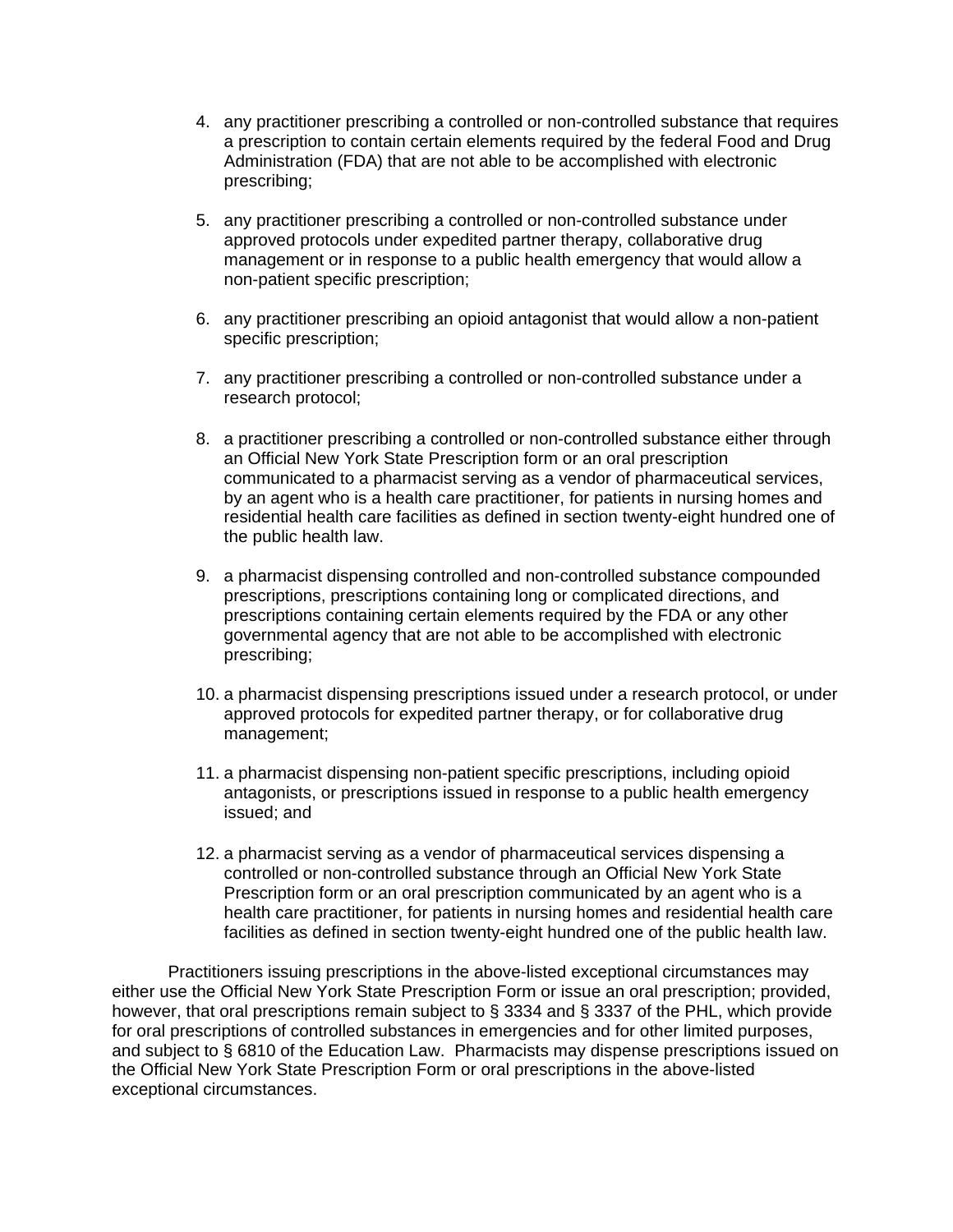- 4. any practitioner prescribing a controlled or non-controlled substance that requires a prescription to contain certain elements required by the federal Food and Drug Administration (FDA) that are not able to be accomplished with electronic prescribing;
- 5. any practitioner prescribing a controlled or non-controlled substance under approved protocols under expedited partner therapy, collaborative drug management or in response to a public health emergency that would allow a non-patient specific prescription;
- 6. any practitioner prescribing an opioid antagonist that would allow a non-patient specific prescription;
- 7. any practitioner prescribing a controlled or non-controlled substance under a research protocol;
- 8. a practitioner prescribing a controlled or non-controlled substance either through an Official New York State Prescription form or an oral prescription communicated to a pharmacist serving as a vendor of pharmaceutical services, by an agent who is a health care practitioner, for patients in nursing homes and residential health care facilities as defined in section twenty-eight hundred one of the public health law.
- 9. a pharmacist dispensing controlled and non-controlled substance compounded prescriptions, prescriptions containing long or complicated directions, and prescriptions containing certain elements required by the FDA or any other governmental agency that are not able to be accomplished with electronic prescribing;
- 10. a pharmacist dispensing prescriptions issued under a research protocol, or under approved protocols for expedited partner therapy, or for collaborative drug management;
- 11. a pharmacist dispensing non-patient specific prescriptions, including opioid antagonists, or prescriptions issued in response to a public health emergency issued; and
- 12. a pharmacist serving as a vendor of pharmaceutical services dispensing a controlled or non-controlled substance through an Official New York State Prescription form or an oral prescription communicated by an agent who is a health care practitioner, for patients in nursing homes and residential health care facilities as defined in section twenty-eight hundred one of the public health law.

 Practitioners issuing prescriptions in the above-listed exceptional circumstances may either use the Official New York State Prescription Form or issue an oral prescription; provided, however, that oral prescriptions remain subject to § 3334 and § 3337 of the PHL, which provide for oral prescriptions of controlled substances in emergencies and for other limited purposes, and subject to § 6810 of the Education Law. Pharmacists may dispense prescriptions issued on the Official New York State Prescription Form or oral prescriptions in the above-listed exceptional circumstances.